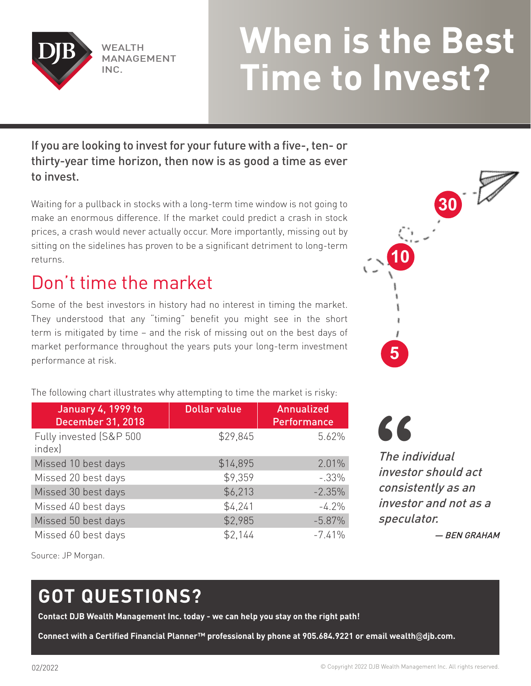

## **When is the Best Time to Invest?**

If you are looking to invest for your future with a five-, ten- or thirty-year time horizon, then now is as good a time as ever to invest.

Waiting for a pullback in stocks with a long-term time window is not going to make an enormous difference. If the market could predict a crash in stock prices, a crash would never actually occur. More importantly, missing out by sitting on the sidelines has proven to be a significant detriment to long-term returns.

## Don't time the market

Some of the best investors in history had no interest in timing the market. They understood that any "timing" benefit you might see in the short term is mitigated by time – and the risk of missing out on the best days of market performance throughout the years puts your long-term investment performance at risk.



**10**

**30**

The following chart illustrates why attempting to time the market is risky:

| January 4, 1999 to<br><b>December 31, 2018</b> | <b>Dollar value</b> | Annualized<br><b>Performance</b> |
|------------------------------------------------|---------------------|----------------------------------|
| Fully invested (S&P 500<br>index)              | \$29,845            | 5.62%                            |
| Missed 10 best days                            | \$14,895            | 2.01%                            |
| Missed 20 best days                            | \$9,359             | $-.33%$                          |
| Missed 30 best days                            | \$6,213             | $-2.35%$                         |
| Missed 40 best days                            | \$4,241             | $-4.2\%$                         |
| Missed 50 best days                            | \$2,985             | $-5.87%$                         |
| Missed 60 best days                            | \$2,144             | $-7.41%$                         |

**"**

The individual investor should act consistently as an investor and not as a speculator.

— BEN GRAHAM

Source: JP Morgan.

## **GOT QUESTIONS?**

**Contact DJB Wealth Management Inc. today - we can help you stay on the right path!** 

**Connect with a Certified Financial Planner™ professional by phone at 905.684.9221 or email wealth**@**djb.com.**